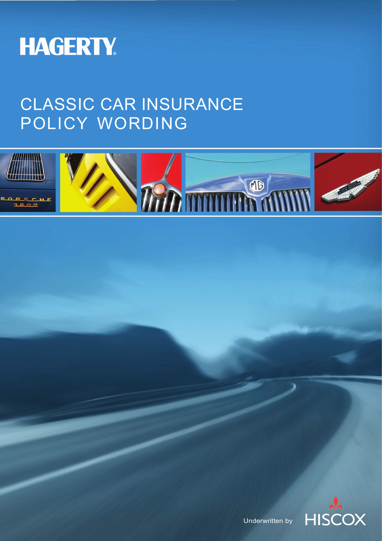

# CLASSIC CAR INSURANCE POLICY WORDING





Underwritten by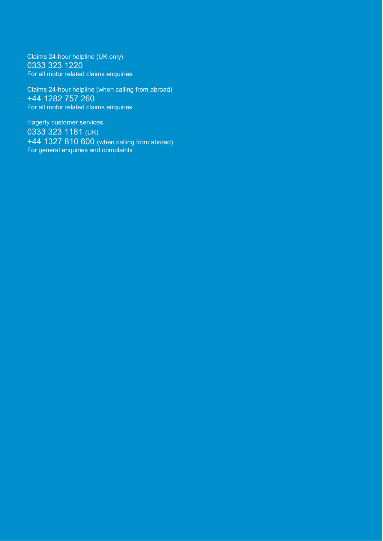Claims 24-hour helpline (UK only) 0333 323 1220 For all motor related claims enquiries

Claims 24-hour helpline (when calling from abroad) +44 1282 757 260 For all motor related claims enquiries

Hagerty customer services 0333 323 1181 (UK) +44 1327 810 600 (when calling from abroad) For general enquiries and complaints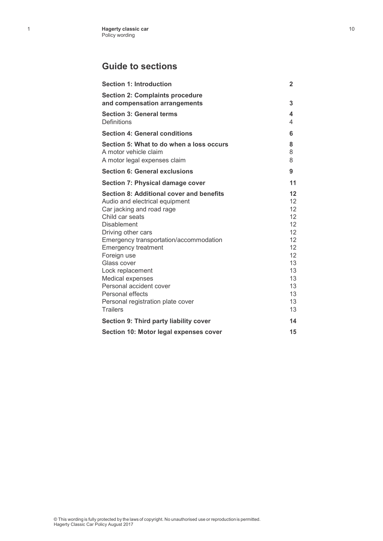### **Guide to sections**

| <b>Section 1: Introduction</b>                                                                                                                                                                                                                                                                                                                                                                                              | $\mathbf{2}$                                                                                                                                       |
|-----------------------------------------------------------------------------------------------------------------------------------------------------------------------------------------------------------------------------------------------------------------------------------------------------------------------------------------------------------------------------------------------------------------------------|----------------------------------------------------------------------------------------------------------------------------------------------------|
| <b>Section 2: Complaints procedure</b><br>and compensation arrangements                                                                                                                                                                                                                                                                                                                                                     | 3                                                                                                                                                  |
| <b>Section 3: General terms</b><br>Definitions                                                                                                                                                                                                                                                                                                                                                                              | 4<br>4                                                                                                                                             |
| <b>Section 4: General conditions</b>                                                                                                                                                                                                                                                                                                                                                                                        | 6                                                                                                                                                  |
| Section 5: What to do when a loss occurs<br>A motor vehicle claim<br>A motor legal expenses claim                                                                                                                                                                                                                                                                                                                           | 8<br>8<br>8                                                                                                                                        |
| <b>Section 6: General exclusions</b>                                                                                                                                                                                                                                                                                                                                                                                        | 9                                                                                                                                                  |
| <b>Section 7: Physical damage cover</b>                                                                                                                                                                                                                                                                                                                                                                                     | 11                                                                                                                                                 |
| Section 8: Additional cover and benefits<br>Audio and electrical equipment<br>Car jacking and road rage<br>Child car seats<br><b>Disablement</b><br>Driving other cars<br>Emergency transportation/accommodation<br><b>Emergency treatment</b><br>Foreign use<br>Glass cover<br>Lock replacement<br>Medical expenses<br>Personal accident cover<br>Personal effects<br>Personal registration plate cover<br><b>Trailers</b> | $12 \overline{ }$<br>12<br>12 <sup>2</sup><br>12<br>12 <sup>°</sup><br>12<br>12<br>12<br>12 <sup>°</sup><br>13<br>13<br>13<br>13<br>13<br>13<br>13 |
| Section 9: Third party liability cover                                                                                                                                                                                                                                                                                                                                                                                      | 14                                                                                                                                                 |
| Section 10: Motor legal expenses cover                                                                                                                                                                                                                                                                                                                                                                                      | 15                                                                                                                                                 |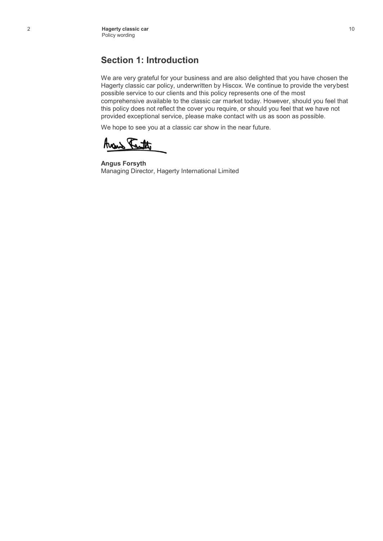### **Section 1: Introduction**

We are very grateful for your business and are also delighted that you have chosen the Hagerty classic car policy, underwritten by Hiscox. We continue to provide the verybest possible service to our clients and this policy represents one of the most comprehensive available to the classic car market today. However, should you feel that this policy does not reflect the cover you require, or should you feel that we have not provided exceptional service, please make contact with us as soon as possible.

We hope to see you at a classic car show in the near future.

Avais Tauth.

**Angus Forsyth** Managing Director, Hagerty International Limited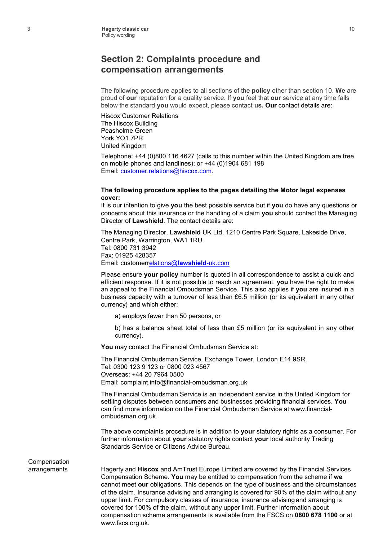#### **Section 2: Complaints procedure and compensation arrangements**

The following procedure applies to all sections of the **policy** other than section 10. **We** are proud of **our** reputation for a quality service. If **you** feel that **our** service at any time falls below the standard **you** would expect, please contact **us. Our** contact details are:

Hiscox Customer Relations The Hiscox Building Peasholme Green York YO1 7PR United Kingdom

Telephone: +44 (0)800 116 4627 (calls to this number within the United Kingdom are free on mobile phones and landlines); or +44 (0)1904 681 198 Email: [customer.relations@hiscox.com.](mailto:customer.relations@hiscox.com)

#### **The following procedure applies to the pages detailing the Motor legal expenses cover:**

It is our intention to give **you** the best possible service but if **you** do have any questions or concerns about this insurance or the handling of a claim **you** should contact the Managing Director of **Lawshield**. The contact details are:

The Managing Director, **Lawshield** UK Ltd, 1210 Centre Park Square, Lakeside Drive, Centre Park, Warrington, WA1 1RU. Tel: 0800 731 3942 Fax: 01925 428357 Email: [customerrelations@](mailto:customerrelations@lawshield-uk.com)**lawshield**-uk.com

Please ensure **your policy** number is quoted in all correspondence to assist a quick and efficient response. If it is not possible to reach an agreement, **you** have the right to make an appeal to the Financial Ombudsman Service. This also applies if **you** are insured in a business capacity with a turnover of less than £6.5 million (or its equivalent in any other currency) and which either:

a) employs fewer than 50 persons, or

b) has a balance sheet total of less than £5 million (or its equivalent in any other currency).

**You** may contact the Financial Ombudsman Service at:

The Financial Ombudsman Service, Exchange Tower, London E14 9SR. Tel: 0300 123 9 123 or 0800 023 4567 Overseas: +44 20 7964 0500 Email: [complaint.info@financial-ombudsman.org.uk](mailto:info@financial-ombudsman.org.uk)

The Financial Ombudsman Service is an independent service in the United Kingdom for settling disputes between consumers and businesses providing financial services. **You**  can find more information on the Financial Ombudsman Service at www.financialombudsman.org.uk.

The above complaints procedure is in addition to **your** statutory rights as a consumer. For further information about **your** statutory rights contact **your** local authority Trading Standards Service or Citizens Advice Bureau.

### Compensation

arrangements Hagerty and **Hiscox** and AmTrust Europe Limited are covered by the Financial Services Compensation Scheme. **You** may be entitled to compensation from the scheme if **we**  cannot meet **our** obligations. This depends on the type of business and the circumstances of the claim. Insurance advising and arranging is covered for 90% of the claim without any upper limit. For compulsory classes of insurance, insurance advising and arranging is covered for 100% of the claim, without any upper limit. Further information about compensation scheme arrangements is available from the FSCS on **0800 678 1100** or at [www.fscs.org.uk.](http://www.fscs.org.uk/)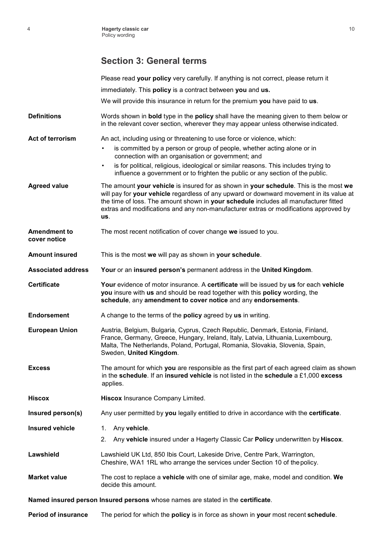### **Section 3: General terms**

|                                     | Please read your policy very carefully. If anything is not correct, please return it                                                                                                                                                                                                                                                                                     |
|-------------------------------------|--------------------------------------------------------------------------------------------------------------------------------------------------------------------------------------------------------------------------------------------------------------------------------------------------------------------------------------------------------------------------|
|                                     | immediately. This policy is a contract between you and us.                                                                                                                                                                                                                                                                                                               |
|                                     | We will provide this insurance in return for the premium you have paid to us.                                                                                                                                                                                                                                                                                            |
| <b>Definitions</b>                  | Words shown in <b>bold</b> type in the <b>policy</b> shall have the meaning given to them below or<br>in the relevant cover section, wherever they may appear unless otherwise indicated.                                                                                                                                                                                |
| Act of terrorism                    | An act, including using or threatening to use force or violence, which:                                                                                                                                                                                                                                                                                                  |
|                                     | is committed by a person or group of people, whether acting alone or in<br>connection with an organisation or government; and                                                                                                                                                                                                                                            |
|                                     | is for political, religious, ideological or similar reasons. This includes trying to<br>$\bullet$<br>influence a government or to frighten the public or any section of the public.                                                                                                                                                                                      |
| <b>Agreed value</b>                 | The amount your vehicle is insured for as shown in your schedule. This is the most we<br>will pay for your vehicle regardless of any upward or downward movement in its value at<br>the time of loss. The amount shown in your schedule includes all manufacturer fitted<br>extras and modifications and any non-manufacturer extras or modifications approved by<br>us. |
| <b>Amendment to</b><br>cover notice | The most recent notification of cover change we issued to you.                                                                                                                                                                                                                                                                                                           |
| <b>Amount insured</b>               | This is the most we will pay as shown in your schedule.                                                                                                                                                                                                                                                                                                                  |
| <b>Associated address</b>           | Your or an insured person's permanent address in the United Kingdom.                                                                                                                                                                                                                                                                                                     |
| <b>Certificate</b>                  | Your evidence of motor insurance. A certificate will be issued by us for each vehicle<br>you insure with us and should be read together with this policy wording, the<br>schedule, any amendment to cover notice and any endorsements.                                                                                                                                   |
| <b>Endorsement</b>                  | A change to the terms of the policy agreed by us in writing.                                                                                                                                                                                                                                                                                                             |
| <b>European Union</b>               | Austria, Belgium, Bulgaria, Cyprus, Czech Republic, Denmark, Estonia, Finland,<br>France, Germany, Greece, Hungary, Ireland, Italy, Latvia, Lithuania, Luxembourg,<br>Malta, The Netherlands, Poland, Portugal, Romania, Slovakia, Slovenia, Spain,<br>Sweden, United Kingdom.                                                                                           |
| <b>Excess</b>                       | The amount for which you are responsible as the first part of each agreed claim as shown<br>in the schedule. If an insured vehicle is not listed in the schedule a £1,000 excess<br>applies.                                                                                                                                                                             |
| <b>Hiscox</b>                       | Hiscox Insurance Company Limited.                                                                                                                                                                                                                                                                                                                                        |
| Insured person(s)                   | Any user permitted by you legally entitled to drive in accordance with the certificate.                                                                                                                                                                                                                                                                                  |
| <b>Insured vehicle</b>              | Any vehicle.<br>1.                                                                                                                                                                                                                                                                                                                                                       |
|                                     | Any vehicle insured under a Hagerty Classic Car Policy underwritten by Hiscox.<br>2.                                                                                                                                                                                                                                                                                     |
| Lawshield                           | Lawshield UK Ltd, 850 Ibis Court, Lakeside Drive, Centre Park, Warrington,<br>Cheshire, WA1 1RL who arrange the services under Section 10 of the policy.                                                                                                                                                                                                                 |
| <b>Market value</b>                 | The cost to replace a vehicle with one of similar age, make, model and condition. We<br>decide this amount.                                                                                                                                                                                                                                                              |
|                                     | Named insured person Insured persons whose names are stated in the certificate.                                                                                                                                                                                                                                                                                          |

**Period of insurance** The period for which the **policy** is in force as shown in **your** most recent **schedule**.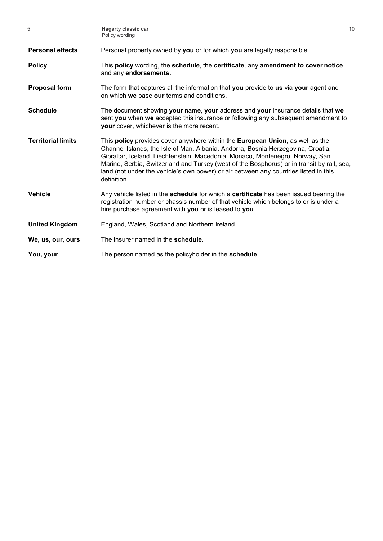| 5                         | <b>Hagerty classic car</b><br>Policy wording                                                                                                                                                                                                                                                                                                                                                                                                                           | 10 |
|---------------------------|------------------------------------------------------------------------------------------------------------------------------------------------------------------------------------------------------------------------------------------------------------------------------------------------------------------------------------------------------------------------------------------------------------------------------------------------------------------------|----|
| <b>Personal effects</b>   | Personal property owned by you or for which you are legally responsible.                                                                                                                                                                                                                                                                                                                                                                                               |    |
| <b>Policy</b>             | This policy wording, the schedule, the certificate, any amendment to cover notice<br>and any endorsements.                                                                                                                                                                                                                                                                                                                                                             |    |
| <b>Proposal form</b>      | The form that captures all the information that you provide to us via your agent and<br>on which we base our terms and conditions.                                                                                                                                                                                                                                                                                                                                     |    |
| <b>Schedule</b>           | The document showing your name, your address and your insurance details that we<br>sent you when we accepted this insurance or following any subsequent amendment to<br>your cover, whichever is the more recent.                                                                                                                                                                                                                                                      |    |
| <b>Territorial limits</b> | This <b>policy</b> provides cover anywhere within the <b>European Union</b> , as well as the<br>Channel Islands, the Isle of Man, Albania, Andorra, Bosnia Herzegovina, Croatia,<br>Gibraltar, Iceland, Liechtenstein, Macedonia, Monaco, Montenegro, Norway, San<br>Marino, Serbia, Switzerland and Turkey (west of the Bosphorus) or in transit by rail, sea,<br>land (not under the vehicle's own power) or air between any countries listed in this<br>definition. |    |
| <b>Vehicle</b>            | Any vehicle listed in the schedule for which a certificate has been issued bearing the<br>registration number or chassis number of that vehicle which belongs to or is under a<br>hire purchase agreement with you or is leased to you.                                                                                                                                                                                                                                |    |
| <b>United Kingdom</b>     | England, Wales, Scotland and Northern Ireland.                                                                                                                                                                                                                                                                                                                                                                                                                         |    |
| We, us, our, ours         | The insurer named in the schedule.                                                                                                                                                                                                                                                                                                                                                                                                                                     |    |
| You, your                 | The person named as the policyholder in the schedule.                                                                                                                                                                                                                                                                                                                                                                                                                  |    |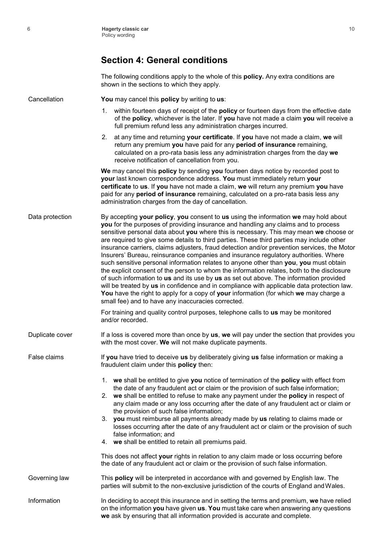### **Section 4: General conditions**

The following conditions apply to the whole of this **policy.** Any extra conditions are shown in the sections to which they apply.

Cancellation **You** may cancel this **policy** by writing to **us**:

- 1. within fourteen days of receipt of the **policy** or fourteen days from the effective date of the **policy**, whichever is the later. If **you** have not made a claim **you** will receive a full premium refund less any administration charges incurred.
- 2. at any time and returning **your certificate**. If **you** have not made a claim, **we** will return any premium **you** have paid for any **period of insurance** remaining, calculated on a pro-rata basis less any administration charges from the day **we**  receive notification of cancellation from you.

**We** may cancel this **policy** by sending **you** fourteen days notice by recorded post to **your** last known correspondence address. **You** must immediately return **your certificate** to **us**. If **you** have not made a claim, **we** will return any premium **you** have paid for any **period of insurance** remaining, calculated on a pro-rata basis less any administration charges from the day of cancellation.

Data protection By accepting **your policy**, **you** consent to **us** using the information **we** may hold about **you** for the purposes of providing insurance and handling any claims and to process sensitive personal data about **you** where this is necessary. This may mean **we** choose or are required to give some details to third parties. These third parties may include other insurance carriers, claims adjusters, fraud detection and/or prevention services, the Motor Insurers' Bureau, reinsurance companies and insurance regulatory authorities. Where such sensitive personal information relates to anyone other than **you**, **you** must obtain the explicit consent of the person to whom the information relates, both to the disclosure of such information to **us** and its use by **us** as set out above. The information provided will be treated by **us** in confidence and in compliance with applicable data protection law. **You** have the right to apply for a copy of **your** information (for which **we** may charge a small fee) and to have any inaccuracies corrected.

> For training and quality control purposes, telephone calls to **us** may be monitored and/or recorded.

Duplicate cover If a loss is covered more than once by us, we will pay under the section that provides you with the most cover. **We** will not make duplicate payments.

False claims If **you** have tried to deceive **us** by deliberately giving **us** false information or making a fraudulent claim under this **policy** then:

- 1. **we** shall be entitled to give **you** notice of termination of the **policy** with effect from the date of any fraudulent act or claim or the provision of such false information;
- 2. **we** shall be entitled to refuse to make any payment under the **policy** in respect of any claim made or any loss occurring after the date of any fraudulent act or claim or the provision of such false information;
- 3. **you** must reimburse all payments already made by **us** relating to claims made or losses occurring after the date of any fraudulent act or claim or the provision of such false information; and
- 4. **we** shall be entitled to retain all premiums paid.

This does not affect **your** rights in relation to any claim made or loss occurring before the date of any fraudulent act or claim or the provision of such false information.

Governing law This **policy** will be interpreted in accordance with and governed by English law. The parties will submit to the non-exclusive jurisdiction of the courts of England andWales.

Information In deciding to accept this insurance and in setting the terms and premium, **we** have relied on the information **you** have given **us**. **You** must take care when answering any questions **we** ask by ensuring that all information provided is accurate and complete.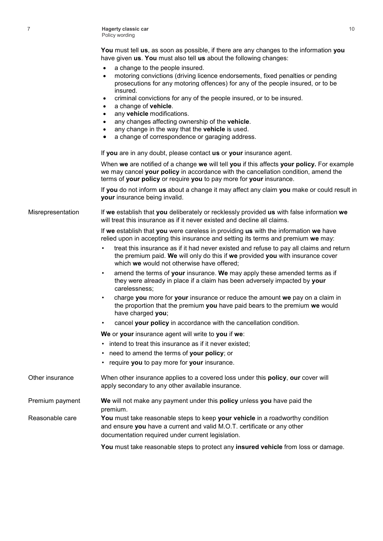7 **Hagerty classic car** Policy wording

> **You** must tell **us**, as soon as possible, if there are any changes to the information **you** have given **us**. **You** must also tell **us** about the following changes:

- a change to the people insured.
- motoring convictions (driving licence endorsements, fixed penalties or pending prosecutions for any motoring offences) for any of the people insured, or to be insured.
- criminal convictions for any of the people insured, or to be insured.
- a change of **vehicle**.
- any **vehicle** modifications.
- any changes affecting ownership of the **vehicle**.
- any change in the way that the **vehicle** is used.
- a change of correspondence or garaging address.

If **you** are in any doubt, please contact **us** or **your** insurance agent.

When **we** are notified of a change **we** will tell **you** if this affects **your policy.** For example we may cancel **your policy** in accordance with the cancellation condition, amend the terms of **your policy** or require **you** to pay more for **your** insurance.

If **you** do not inform **us** about a change it may affect any claim **you** make or could result in **your** insurance being invalid.

Misrepresentation If **we** establish that **you** deliberately or recklessly provided **us** with false information **we** will treat this insurance as if it never existed and decline all claims.

> If **we** establish that **you** were careless in providing **us** with the information **we** have relied upon in accepting this insurance and setting its terms and premium **we** may:

- treat this insurance as if it had never existed and refuse to pay all claims and return the premium paid. **We** will only do this if **we** provided **you** with insurance cover which **we** would not otherwise have offered;
- amend the terms of **your** insurance. **We** may apply these amended terms as if they were already in place if a claim has been adversely impacted by **your**  carelessness;
- charge **you** more for **your** insurance or reduce the amount **we** pay on a claim in the proportion that the premium **you** have paid bears to the premium **we** would have charged **you**;
- cancel **your policy** in accordance with the cancellation condition.

**We** or **your** insurance agent will write to **you** if **we**:

- intend to treat this insurance as if it never existed;
- need to amend the terms of **your policy**; or
- require **you** to pay more for **your** insurance.

| Other insurance | When other insurance applies to a covered loss under this <b>policy</b> , our cover will<br>apply secondary to any other available insurance.                                                                 |
|-----------------|---------------------------------------------------------------------------------------------------------------------------------------------------------------------------------------------------------------|
| Premium payment | We will not make any payment under this policy unless you have paid the<br>premium.                                                                                                                           |
| Reasonable care | You must take reasonable steps to keep your vehicle in a roadworthy condition<br>and ensure you have a current and valid M.O.T. certificate or any other<br>documentation required under current legislation. |
|                 | You must take reasonable steps to protect any insured vehicle from loss or damage.                                                                                                                            |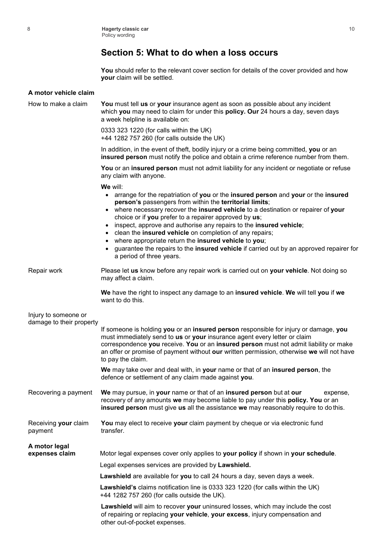### **Section 5: What to do when a loss occurs**

**You** should refer to the relevant cover section for details of the cover provided and how **your** claim will be settled.

| A motor vehicle claim                            |                                                                                                                                                                                                                                                                                                                                                                                                                                                                                                                                                                                                                                                          |
|--------------------------------------------------|----------------------------------------------------------------------------------------------------------------------------------------------------------------------------------------------------------------------------------------------------------------------------------------------------------------------------------------------------------------------------------------------------------------------------------------------------------------------------------------------------------------------------------------------------------------------------------------------------------------------------------------------------------|
| How to make a claim                              | You must tell us or your insurance agent as soon as possible about any incident<br>which you may need to claim for under this policy. Our 24 hours a day, seven days<br>a week helpline is available on:                                                                                                                                                                                                                                                                                                                                                                                                                                                 |
|                                                  | 0333 323 1220 (for calls within the UK)<br>+44 1282 757 260 (for calls outside the UK)                                                                                                                                                                                                                                                                                                                                                                                                                                                                                                                                                                   |
|                                                  | In addition, in the event of theft, bodily injury or a crime being committed, you or an<br>insured person must notify the police and obtain a crime reference number from them.                                                                                                                                                                                                                                                                                                                                                                                                                                                                          |
|                                                  | You or an insured person must not admit liability for any incident or negotiate or refuse<br>any claim with anyone.                                                                                                                                                                                                                                                                                                                                                                                                                                                                                                                                      |
|                                                  | We will:<br>• arrange for the repatriation of you or the insured person and your or the insured<br>person's passengers from within the territorial limits;<br>• where necessary recover the insured vehicle to a destination or repairer of your<br>choice or if you prefer to a repairer approved by us;<br>inspect, approve and authorise any repairs to the insured vehicle;<br>٠<br>clean the insured vehicle on completion of any repairs;<br>$\bullet$<br>where appropriate return the insured vehicle to you;<br>$\bullet$<br>guarantee the repairs to the insured vehicle if carried out by an approved repairer for<br>a period of three years. |
| Repair work                                      | Please let us know before any repair work is carried out on your vehicle. Not doing so<br>may affect a claim.                                                                                                                                                                                                                                                                                                                                                                                                                                                                                                                                            |
|                                                  | We have the right to inspect any damage to an insured vehicle. We will tell you if we<br>want to do this.                                                                                                                                                                                                                                                                                                                                                                                                                                                                                                                                                |
| Injury to someone or<br>damage to their property |                                                                                                                                                                                                                                                                                                                                                                                                                                                                                                                                                                                                                                                          |
|                                                  | If someone is holding you or an insured person responsible for injury or damage, you<br>must immediately send to us or your insurance agent every letter or claim<br>correspondence you receive. You or an insured person must not admit liability or make<br>an offer or promise of payment without our written permission, otherwise we will not have<br>to pay the claim.                                                                                                                                                                                                                                                                             |
|                                                  | We may take over and deal with, in your name or that of an insured person, the<br>defence or settlement of any claim made against you.                                                                                                                                                                                                                                                                                                                                                                                                                                                                                                                   |
| Recovering a payment                             | We may pursue, in your name or that of an insured person but at our<br>expense,<br>recovery of any amounts we may become liable to pay under this policy. You or an<br>insured person must give us all the assistance we may reasonably require to do this.                                                                                                                                                                                                                                                                                                                                                                                              |
| Receiving your claim<br>payment                  | You may elect to receive your claim payment by cheque or via electronic fund<br>transfer.                                                                                                                                                                                                                                                                                                                                                                                                                                                                                                                                                                |
| A motor legal<br>expenses claim                  | Motor legal expenses cover only applies to your policy if shown in your schedule.                                                                                                                                                                                                                                                                                                                                                                                                                                                                                                                                                                        |
|                                                  | Legal expenses services are provided by Lawshield.                                                                                                                                                                                                                                                                                                                                                                                                                                                                                                                                                                                                       |
|                                                  | Lawshield are available for you to call 24 hours a day, seven days a week.                                                                                                                                                                                                                                                                                                                                                                                                                                                                                                                                                                               |
|                                                  | Lawshield's claims notification line is 0333 323 1220 (for calls within the UK)<br>+44 1282 757 260 (for calls outside the UK).                                                                                                                                                                                                                                                                                                                                                                                                                                                                                                                          |
|                                                  | Lawshield will aim to recover your uninsured losses, which may include the cost<br>of repairing or replacing your vehicle, your excess, injury compensation and<br>other out-of-pocket expenses.                                                                                                                                                                                                                                                                                                                                                                                                                                                         |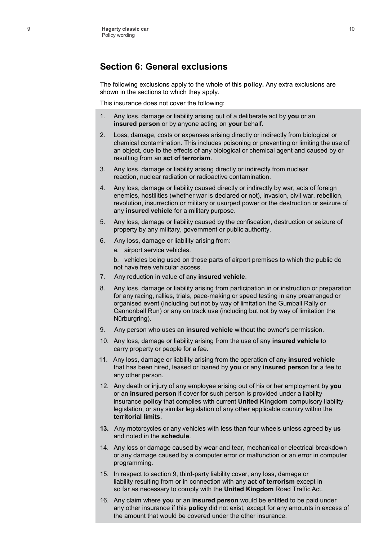#### **Section 6: General exclusions**

The following exclusions apply to the whole of this **policy.** Any extra exclusions are shown in the sections to which they apply.

This insurance does not cover the following:

- 1. Any loss, damage or liability arising out of a deliberate act by **you** or an **insured person** or by anyone acting on **your** behalf.
- 2. Loss, damage, costs or expenses arising directly or indirectly from biological or chemical contamination. This includes poisoning or preventing or limiting the use of an object, due to the effects of any biological or chemical agent and caused by or resulting from an **act of terrorism**.
- 3. Any loss, damage or liability arising directly or indirectly from nuclear reaction, nuclear radiation or radioactive contamination.
- 4. Any loss, damage or liability caused directly or indirectly by war, acts of foreign enemies, hostilities (whether war is declared or not), invasion, civil war, rebellion, revolution, insurrection or military or usurped power or the destruction or seizure of any **insured vehicle** for a military purpose.
- 5. Any loss, damage or liability caused by the confiscation, destruction or seizure of property by any military, government or public authority.
- 6. Any loss, damage or liability arising from:
	- a. airport service vehicles.

b. vehicles being used on those parts of airport premises to which the public do not have free vehicular access.

- 7. Any reduction in value of any **insured vehicle**.
- 8. Any loss, damage or liability arising from participation in or instruction or preparation for any racing, rallies, trials, pace-making or speed testing in any prearranged or organised event (including but not by way of limitation the Gumball Rally or Cannonball Run) or any on track use (including but not by way of limitation the Nürburgring).
- 9. Any person who uses an **insured vehicle** without the owner's permission.
- 10. Any loss, damage or liability arising from the use of any **insured vehicle** to carry property or people for a fee.
- 11. Any loss, damage or liability arising from the operation of any **insured vehicle**  that has been hired, leased or loaned by **you** or any **insured person** for a fee to any other person.
- 12. Any death or injury of any employee arising out of his or her employment by **you**  or an **insured person** if cover for such person is provided under a liability insurance **policy** that complies with current **United Kingdom** compulsory liability legislation, or any similar legislation of any other applicable country within the **territorial limits**.
- **13.** Any motorcycles or any vehicles with less than four wheels unless agreed by **us** and noted in the **schedule**.
- 14. Any loss or damage caused by wear and tear, mechanical or electrical breakdown or any damage caused by a computer error or malfunction or an error in computer programming.
- 15. In respect to section 9, third-party liability cover, any loss, damage or liability resulting from or in connection with any **act of terrorism** except in so far as necessary to comply with the **United Kingdom** Road Traffic Act.
- 16. Any claim where **you** or an **insured person** would be entitled to be paid under any other insurance if this **policy** did not exist, except for any amounts in excess of the amount that would be covered under the other insurance.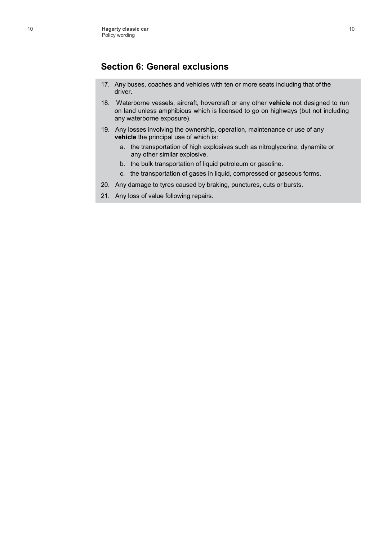#### **Section 6: General exclusions**

- 17. Any buses, coaches and vehicles with ten or more seats including that of the driver.
- 18. Waterborne vessels, aircraft, hovercraft or any other **vehicle** not designed to run on land unless amphibious which is licensed to go on highways (but not including any waterborne exposure).
- 19. Any losses involving the ownership, operation, maintenance or use of any **vehicle** the principal use of which is:
	- a. the transportation of high explosives such as nitroglycerine, dynamite or any other similar explosive.
	- b. the bulk transportation of liquid petroleum or gasoline.
	- c. the transportation of gases in liquid, compressed or gaseous forms.
- 20. Any damage to tyres caused by braking, punctures, cuts or bursts.
- 21. Any loss of value following repairs.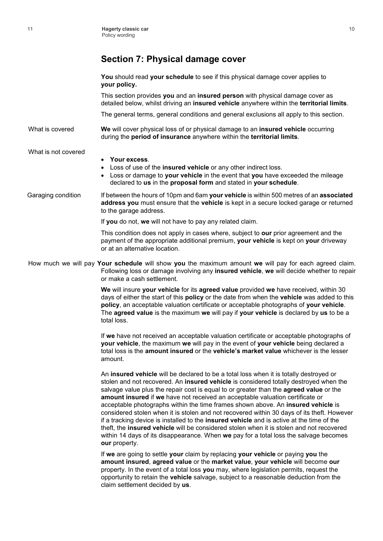### **Section 7: Physical damage cover**

|                     | You should read your schedule to see if this physical damage cover applies to<br>your policy.                                                                                                                                                                                                                                                                                                                                                                                                                                                                                                                                                                                                                                                                                                                                                          |
|---------------------|--------------------------------------------------------------------------------------------------------------------------------------------------------------------------------------------------------------------------------------------------------------------------------------------------------------------------------------------------------------------------------------------------------------------------------------------------------------------------------------------------------------------------------------------------------------------------------------------------------------------------------------------------------------------------------------------------------------------------------------------------------------------------------------------------------------------------------------------------------|
|                     | This section provides you and an insured person with physical damage cover as<br>detailed below, whilst driving an insured vehicle anywhere within the territorial limits.                                                                                                                                                                                                                                                                                                                                                                                                                                                                                                                                                                                                                                                                             |
|                     | The general terms, general conditions and general exclusions all apply to this section.                                                                                                                                                                                                                                                                                                                                                                                                                                                                                                                                                                                                                                                                                                                                                                |
| What is covered     | We will cover physical loss of or physical damage to an insured vehicle occurring<br>during the period of insurance anywhere within the territorial limits.                                                                                                                                                                                                                                                                                                                                                                                                                                                                                                                                                                                                                                                                                            |
| What is not covered | Your excess.<br>٠<br>Loss of use of the insured vehicle or any other indirect loss.<br>Loss or damage to your vehicle in the event that you have exceeded the mileage<br>declared to us in the proposal form and stated in your schedule.                                                                                                                                                                                                                                                                                                                                                                                                                                                                                                                                                                                                              |
| Garaging condition  | If between the hours of 10pm and 6am your vehicle is within 500 metres of an associated<br>address you must ensure that the vehicle is kept in a secure locked garage or returned<br>to the garage address.                                                                                                                                                                                                                                                                                                                                                                                                                                                                                                                                                                                                                                            |
|                     | If you do not, we will not have to pay any related claim.                                                                                                                                                                                                                                                                                                                                                                                                                                                                                                                                                                                                                                                                                                                                                                                              |
|                     | This condition does not apply in cases where, subject to our prior agreement and the<br>payment of the appropriate additional premium, your vehicle is kept on your driveway<br>or at an alternative location.                                                                                                                                                                                                                                                                                                                                                                                                                                                                                                                                                                                                                                         |
|                     | How much we will pay Your schedule will show you the maximum amount we will pay for each agreed claim.<br>Following loss or damage involving any insured vehicle, we will decide whether to repair<br>or make a cash settlement.                                                                                                                                                                                                                                                                                                                                                                                                                                                                                                                                                                                                                       |
|                     | We will insure your vehicle for its agreed value provided we have received, within 30<br>days of either the start of this policy or the date from when the vehicle was added to this<br>policy, an acceptable valuation certificate or acceptable photographs of your vehicle.<br>The agreed value is the maximum we will pay if your vehicle is declared by us to be a<br>total loss.                                                                                                                                                                                                                                                                                                                                                                                                                                                                 |
|                     | If we have not received an acceptable valuation certificate or acceptable photographs of<br>your vehicle, the maximum we will pay in the event of your vehicle being declared a<br>total loss is the amount insured or the vehicle's market value whichever is the lesser<br>amount.                                                                                                                                                                                                                                                                                                                                                                                                                                                                                                                                                                   |
|                     | An insured vehicle will be declared to be a total loss when it is totally destroyed or<br>stolen and not recovered. An insured vehicle is considered totally destroyed when the<br>salvage value plus the repair cost is equal to or greater than the <b>agreed value</b> or the<br>amount insured if we have not received an acceptable valuation certificate or<br>acceptable photographs within the time frames shown above. An insured vehicle is<br>considered stolen when it is stolen and not recovered within 30 days of its theft. However<br>if a tracking device is installed to the insured vehicle and is active at the time of the<br>theft, the insured vehicle will be considered stolen when it is stolen and not recovered<br>within 14 days of its disappearance. When we pay for a total loss the salvage becomes<br>our property. |
|                     | If we are going to settle your claim by replacing your vehicle or paying you the<br>amount insured, agreed value or the market value, your vehicle will become our<br>property. In the event of a total loss you may, where legislation permits, request the<br>opportunity to retain the vehicle salvage, subject to a reasonable deduction from the                                                                                                                                                                                                                                                                                                                                                                                                                                                                                                  |

claim settlement decided by **us**.

10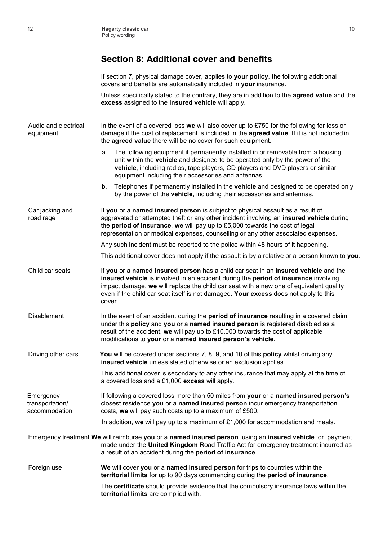### **Section 8: Additional cover and benefits**

If section 7, physical damage cover, applies to **your policy**, the following additional covers and benefits are automatically included in **your** insurance.

Unless specifically stated to the contrary, they are in addition to the **agreed value** and the **excess** assigned to the **insured vehicle** will apply.

| Audio and electrical<br>equipment             | In the event of a covered loss we will also cover up to £750 for the following for loss or<br>damage if the cost of replacement is included in the agreed value. If it is not included in<br>the agreed value there will be no cover for such equipment.                                                                                                               |
|-----------------------------------------------|------------------------------------------------------------------------------------------------------------------------------------------------------------------------------------------------------------------------------------------------------------------------------------------------------------------------------------------------------------------------|
|                                               | The following equipment if permanently installed in or removable from a housing<br>а.<br>unit within the vehicle and designed to be operated only by the power of the<br>vehicle, including radios, tape players, CD players and DVD players or similar<br>equipment including their accessories and antennas.                                                         |
|                                               | b. Telephones if permanently installed in the <b>vehicle</b> and designed to be operated only<br>by the power of the vehicle, including their accessories and antennas.                                                                                                                                                                                                |
| Car jacking and<br>road rage                  | If you or a named insured person is subject to physical assault as a result of<br>aggravated or attempted theft or any other incident involving an insured vehicle during<br>the period of insurance, we will pay up to £5,000 towards the cost of legal<br>representation or medical expenses, counselling or any other associated expenses.                          |
|                                               | Any such incident must be reported to the police within 48 hours of it happening.                                                                                                                                                                                                                                                                                      |
|                                               | This additional cover does not apply if the assault is by a relative or a person known to you.                                                                                                                                                                                                                                                                         |
| Child car seats                               | If you or a named insured person has a child car seat in an insured vehicle and the<br>insured vehicle is involved in an accident during the period of insurance involving<br>impact damage, we will replace the child car seat with a new one of equivalent quality<br>even if the child car seat itself is not damaged. Your excess does not apply to this<br>cover. |
| <b>Disablement</b>                            | In the event of an accident during the period of insurance resulting in a covered claim<br>under this policy and you or a named insured person is registered disabled as a<br>result of the accident, we will pay up to £10,000 towards the cost of applicable<br>modifications to your or a named insured person's vehicle.                                           |
| Driving other cars                            | You will be covered under sections 7, 8, 9, and 10 of this policy whilst driving any<br>insured vehicle unless stated otherwise or an exclusion applies.                                                                                                                                                                                                               |
|                                               | This additional cover is secondary to any other insurance that may apply at the time of<br>a covered loss and a £1,000 excess will apply.                                                                                                                                                                                                                              |
| Emergency<br>transportation/<br>accommodation | If following a covered loss more than 50 miles from your or a named insured person's<br>closest residence you or a named insured person incur emergency transportation<br>costs, we will pay such costs up to a maximum of £500.                                                                                                                                       |
|                                               | In addition, we will pay up to a maximum of $£1,000$ for accommodation and meals.                                                                                                                                                                                                                                                                                      |
|                                               | Emergency treatment We will reimburse you or a named insured person using an insured vehicle for payment<br>made under the United Kingdom Road Traffic Act for emergency treatment incurred as<br>a result of an accident during the period of insurance.                                                                                                              |
| Foreign use                                   | We will cover you or a named insured person for trips to countries within the<br>territorial limits for up to 90 days commencing during the period of insurance.                                                                                                                                                                                                       |
|                                               | The certificate should provide evidence that the compulsory insurance laws within the<br>territorial limits are complied with.                                                                                                                                                                                                                                         |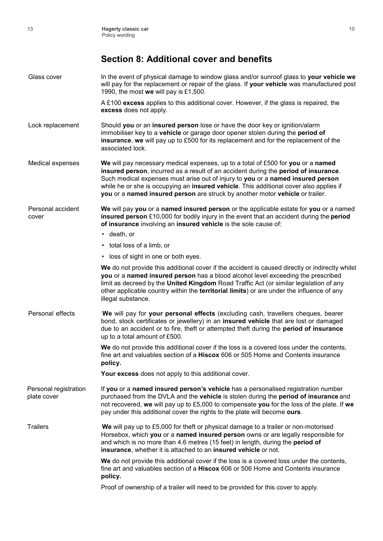### **Section 8: Additional cover and benefits**

| Glass cover                          | In the event of physical damage to window glass and/or sunroof glass to your vehicle we<br>will pay for the replacement or repair of the glass. If your vehicle was manufactured post<br>1990, the most we will pay is £1,500.                                                                                                                                                                                                        |
|--------------------------------------|---------------------------------------------------------------------------------------------------------------------------------------------------------------------------------------------------------------------------------------------------------------------------------------------------------------------------------------------------------------------------------------------------------------------------------------|
|                                      | A £100 excess applies to this additional cover. However, if the glass is repaired, the<br>excess does not apply.                                                                                                                                                                                                                                                                                                                      |
| Lock replacement                     | Should you or an insured person lose or have the door key or ignition/alarm<br>immobiliser key to a vehicle or garage door opener stolen during the period of<br>insurance, we will pay up to £500 for its replacement and for the replacement of the<br>associated lock.                                                                                                                                                             |
| Medical expenses                     | We will pay necessary medical expenses, up to a total of £500 for you or a named<br>insured person, incurred as a result of an accident during the period of insurance.<br>Such medical expenses must arise out of injury to you or a named insured person<br>while he or she is occupying an insured vehicle. This additional cover also applies if<br>you or a named insured person are struck by another motor vehicle or trailer. |
| Personal accident<br>cover           | We will pay you or a named insured person or the applicable estate for you or a named<br>insured person £10,000 for bodily injury in the event that an accident during the period<br>of insurance involving an insured vehicle is the sole cause of:<br>$\cdot$ death, or                                                                                                                                                             |
|                                      | • total loss of a limb, or                                                                                                                                                                                                                                                                                                                                                                                                            |
|                                      | • loss of sight in one or both eyes.                                                                                                                                                                                                                                                                                                                                                                                                  |
|                                      | We do not provide this additional cover if the accident is caused directly or indirectly whilst<br>you or a named insured person has a blood alcohol level exceeding the prescribed<br>limit as decreed by the United Kingdom Road Traffic Act (or similar legislation of any<br>other applicable country within the <b>territorial limits</b> ) or are under the influence of any<br>illegal substance.                              |
| Personal effects                     | We will pay for your personal effects (excluding cash, travellers cheques, bearer<br>bond, stock certificates or jewellery) in an insured vehicle that are lost or damaged<br>due to an accident or to fire, theft or attempted theft during the period of insurance<br>up to a total amount of £500.                                                                                                                                 |
|                                      | We do not provide this additional cover if the loss is a covered loss under the contents,<br>fine art and valuables section of a Hiscox 606 or 505 Home and Contents insurance<br>policy.                                                                                                                                                                                                                                             |
|                                      | Your excess does not apply to this additional cover.                                                                                                                                                                                                                                                                                                                                                                                  |
| Personal registration<br>plate cover | If you or a named insured person's vehicle has a personalised registration number<br>purchased from the DVLA and the vehicle is stolen during the period of insurance and<br>not recovered, we will pay up to £5,000 to compensate you for the loss of the plate. If we<br>pay under this additional cover the rights to the plate will become ours.                                                                                  |
| <b>Trailers</b>                      | We will pay up to £5,000 for theft or physical damage to a trailer or non-motorised<br>Horsebox, which you or a named insured person owns or are legally responsible for<br>and which is no more than 4.6 metres (15 feet) in length, during the period of<br>insurance, whether it is attached to an insured vehicle or not.                                                                                                         |
|                                      | We do not provide this additional cover if the loss is a covered loss under the contents,<br>fine art and valuables section of a Hiscox 606 or 506 Home and Contents insurance<br>policy.                                                                                                                                                                                                                                             |
|                                      | Proof of ownership of a trailer will need to be provided for this cover to apply.                                                                                                                                                                                                                                                                                                                                                     |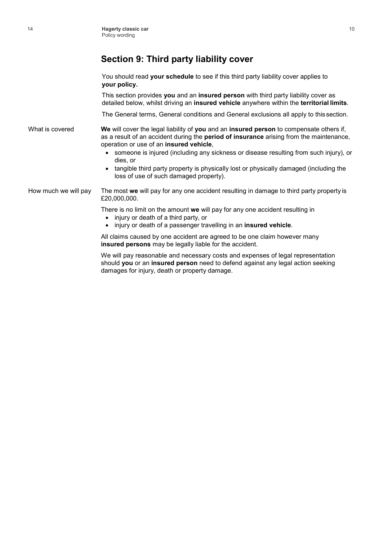### **Section 9: Third party liability cover**

You should read **your schedule** to see if this third party liability cover applies to **your policy.**

This section provides **you** and an **insured person** with third party liability cover as detailed below, whilst driving an **insured vehicle** anywhere within the **territorial limits**.

The General terms, General conditions and General exclusions all apply to this section.

What is covered **We** will cover the legal liability of **you** and an **insured person** to compensate others if, as a result of an accident during the **period of insurance** arising from the maintenance, operation or use of an **insured vehicle**,

- someone is injured (including any sickness or disease resulting from such injury), or dies, or
- tangible third party property is physically lost or physically damaged (including the loss of use of such damaged property).

How much we will pay The most **we** will pay for any one accident resulting in damage to third party property is £20,000,000.

There is no limit on the amount **we** will pay for any one accident resulting in

- injury or death of a third party, or
- injury or death of a passenger travelling in an **insured vehicle**.

All claims caused by one accident are agreed to be one claim however many **insured persons** may be legally liable for the accident.

We will pay reasonable and necessary costs and expenses of legal representation should **you** or an **insured person** need to defend against any legal action seeking damages for injury, death or property damage.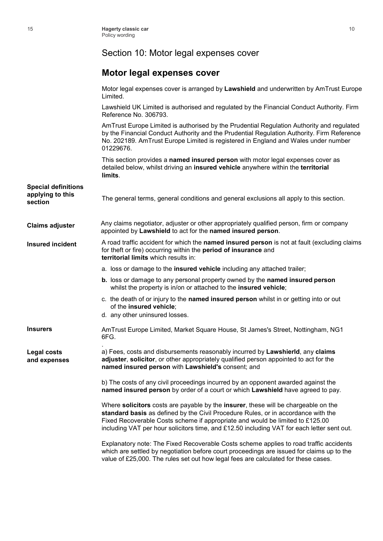### Section 10: Motor legal expenses cover

### **Motor legal expenses cover**

|                                                           | Motor legal expenses cover is arranged by Lawshield and underwritten by AmTrust Europe<br>Limited.                                                                                                                                                                                                                                                     |
|-----------------------------------------------------------|--------------------------------------------------------------------------------------------------------------------------------------------------------------------------------------------------------------------------------------------------------------------------------------------------------------------------------------------------------|
|                                                           | Lawshield UK Limited is authorised and regulated by the Financial Conduct Authority. Firm<br>Reference No. 306793.                                                                                                                                                                                                                                     |
|                                                           | AmTrust Europe Limited is authorised by the Prudential Regulation Authority and regulated<br>by the Financial Conduct Authority and the Prudential Regulation Authority. Firm Reference<br>No. 202189. AmTrust Europe Limited is registered in England and Wales under number<br>01229676.                                                             |
|                                                           | This section provides a named insured person with motor legal expenses cover as<br>detailed below, whilst driving an insured vehicle anywhere within the territorial<br>limits.                                                                                                                                                                        |
| <b>Special definitions</b><br>applying to this<br>section | The general terms, general conditions and general exclusions all apply to this section.                                                                                                                                                                                                                                                                |
| <b>Claims adjuster</b>                                    | Any claims negotiator, adjuster or other appropriately qualified person, firm or company<br>appointed by Lawshield to act for the named insured person.                                                                                                                                                                                                |
| <b>Insured incident</b>                                   | A road traffic accident for which the named insured person is not at fault (excluding claims<br>for theft or fire) occurring within the <b>period of insurance</b> and<br>territorial limits which results in:                                                                                                                                         |
|                                                           | a. loss or damage to the insured vehicle including any attached trailer;                                                                                                                                                                                                                                                                               |
|                                                           | b. loss or damage to any personal property owned by the named insured person<br>whilst the property is in/on or attached to the insured vehicle;                                                                                                                                                                                                       |
|                                                           | c. the death of or injury to the named insured person whilst in or getting into or out<br>of the insured vehicle;<br>d. any other uninsured losses.                                                                                                                                                                                                    |
| <b>Insurers</b>                                           | AmTrust Europe Limited, Market Square House, St James's Street, Nottingham, NG1<br>6FG.                                                                                                                                                                                                                                                                |
| <b>Legal costs</b><br>and expenses                        | a) Fees, costs and disbursements reasonably incurred by Lawshierld, any claims<br>adjuster, solicitor, or other appropriately qualified person appointed to act for the<br>named insured person with Lawshield's consent; and                                                                                                                          |
|                                                           | b) The costs of any civil proceedings incurred by an opponent awarded against the<br>named insured person by order of a court or which Lawshield have agreed to pay.                                                                                                                                                                                   |
|                                                           | Where solicitors costs are payable by the insurer, these will be chargeable on the<br>standard basis as defined by the Civil Procedure Rules, or in accordance with the<br>Fixed Recoverable Costs scheme if appropriate and would be limited to £125.00<br>including VAT per hour solicitors time, and £12.50 including VAT for each letter sent out. |
|                                                           | Explanatory note: The Fixed Recoverable Costs scheme applies to road traffic accidents<br>which are settled by negotiation before court proceedings are issued for claims up to the<br>value of £25,000. The rules set out how legal fees are calculated for these cases.                                                                              |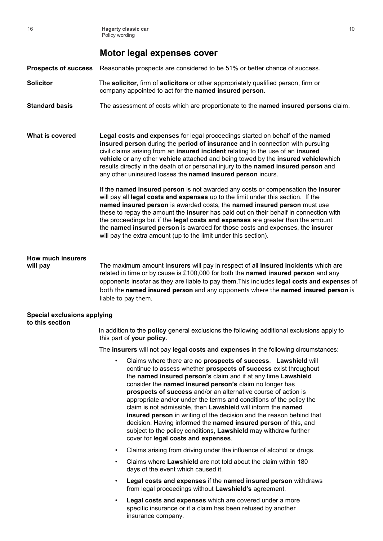#### **Motor legal expenses cover**

**Prospects of success** Reasonable prospects are considered to be 51% or better chance of success.

- **Solicitor** The **solicitor**, firm of **solicitors** or other appropriately qualified person, firm or company appointed to act for the **named insured person**.
- **Standard basis** The assessment of costs which are proportionate to the **named insured persons** claim.

**What is covered Legal costs and expenses** for legal proceedings started on behalf of the **named insured person** during the **period of insurance** and in connection with pursuing civil claims arising from an **insured incident** relating to the use of an **insured vehicle** or any other **vehicle** attached and being towed by the **insured vehicle**which results directly in the death of or personal injury to the **named insured person** and any other uninsured losses the **named insured person** incurs.

> If the **named insured person** is not awarded any costs or compensation the **insurer**  will pay all **legal costs and expenses** up to the limit under this section. If the **named insured person** is awarded costs, the **named insured person** must use these to repay the amount the **insurer** has paid out on their behalf in connection with the proceedings but if the **legal costs and expenses** are greater than the amount the **named insured person** is awarded for those costs and expenses, the **insurer**  will pay the extra amount (up to the limit under this section).

### **How much insurers**

**will pay** The maximum amount **insurers** will pay in respect of all **insured incidents** which are related in time or by cause is £100,000 for both the **named insured person** and any opponents insofar as they are liable to pay them.This includes **legal costs and expenses** of both the **named insured person** and any opponents where the **named insured person** is liable to pay them.

#### **Special exclusions applying to this section**

In addition to the **policy** general exclusions the following additional exclusions apply to this part of **your policy**.

The **insurers** will not pay **legal costs and expenses** in the following circumstances:

- Claims where there are no **prospects of success**. **Lawshield** will continue to assess whether **prospects of success** exist throughout the **named insured person's** claim and if at any time **Lawshield** consider the **named insured person's** claim no longer has **prospects of success** and/or an alternative course of action is appropriate and/or under the terms and conditions of the policy the claim is not admissible, then **Lawshiel**d will inform the **named insured person** in writing of the decision and the reason behind that decision. Having informed the **named insured person** of this, and subject to the policy conditions, **Lawshield** may withdraw further cover for **legal costs and expenses**.
- Claims arising from driving under the influence of alcohol or drugs.
- Claims where **Lawshield** are not told about the claim within 180 days of the event which caused it.
- **Legal costs and expenses** if the **named insured person** withdraws from legal proceedings without **Lawshield's** agreement.
- Legal costs and expenses which are covered under a more specific insurance or if a claim has been refused by another insurance company.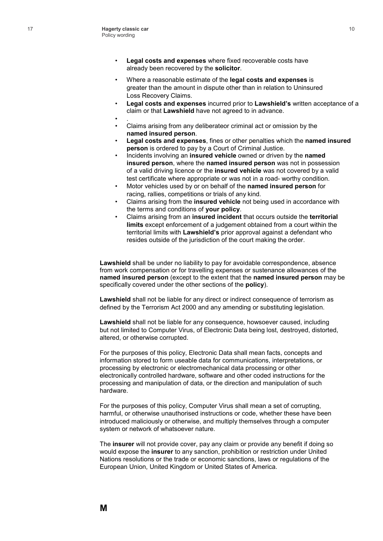- **Legal costs and expenses** where fixed recoverable costs have already been recovered by the **solicitor**.
- Where a reasonable estimate of the **legal costs and expenses** is greater than the amount in dispute other than in relation to Uninsured Loss Recovery Claims.
- **Legal costs and expenses** incurred prior to **Lawshield's** written acceptance of a claim or that **Lawshield** have not agreed to in advance.
- .
- Claims arising from any deliberateor criminal act or omission by the **named insured person**.
- **Legal costs and expenses**, fines or other penalties which the **named insured person** is ordered to pay by a Court of Criminal Justice.
- Incidents involving an **insured vehicle** owned or driven by the **named insured person**, where the **named insured person** was not in possession of a valid driving licence or the **insured vehicle** was not covered by a valid test certificate where appropriate or was not in a road- worthy condition.
- Motor vehicles used by or on behalf of the **named insured person** for racing, rallies, competitions or trials of any kind.
- Claims arising from the **insured vehicle** not being used in accordance with the terms and conditions of **your policy**.
- Claims arising from an **insured incident** that occurs outside the **territorial limits** except enforcement of a judgement obtained from a court within the territorial limits with **Lawshield's** prior approval against a defendant who resides outside of the jurisdiction of the court making the order.

**Lawshield** shall be under no liability to pay for avoidable correspondence, absence from work compensation or for travelling expenses or sustenance allowances of the **named insured person** (except to the extent that the **named insured person** may be specifically covered under the other sections of the **policy**).

**Lawshield** shall not be liable for any direct or indirect consequence of terrorism as defined by the Terrorism Act 2000 and any amending or substituting legislation.

**Lawshield** shall not be liable for any consequence, howsoever caused, including but not limited to Computer Virus, of Electronic Data being lost, destroyed, distorted, altered, or otherwise corrupted.

For the purposes of this policy, Electronic Data shall mean facts, concepts and information stored to form useable data for communications, interpretations, or processing by electronic or electromechanical data processing or other electronically controlled hardware, software and other coded instructions for the processing and manipulation of data, or the direction and manipulation of such hardware.

For the purposes of this policy, Computer Virus shall mean a set of corrupting, harmful, or otherwise unauthorised instructions or code, whether these have been introduced maliciously or otherwise, and multiply themselves through a computer system or network of whatsoever nature.

The **insurer** will not provide cover, pay any claim or provide any benefit if doing so would expose the **insurer** to any sanction, prohibition or restriction under United Nations resolutions or the trade or economic sanctions, laws or regulations of the European Union, United Kingdom or United States of America.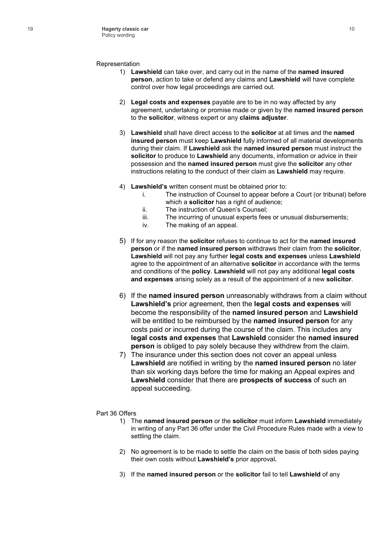- Representation **Lawshield** can take over, and carry out in the name of the **named insured person**, action to take or defend any claims and **Lawshield** will have completecontrol over how legal proceedings are carried out.
	- **Legal costs and expenses** payable are to be in no way affected by anyagreement, undertaking or promise made or given by the **named insured person** to the **solicitor**, witness expert or any **claims adjuster**.
	- **Lawshield** shall have direct access to the **solicitor** at all times and the **named insured person** must keep **Lawshield** fully informed of all material developments during their claim. If **Lawshield** ask the **named insured person** must instruct the **solicitor** to produce to **Lawshield** any documents, information or advice in their possession and the **named insured person** must give the **solicitor** any other instructions relating to the conduct of their claim as **Lawshield** may require.
	- **Lawshield's** written consent must be obtained prior to:
		- The instruction of Counsel to appear before a Court (or tribunal) before which a **solicitor** has a right of audience;
		- 1 | " The instruction of Queen's Counsel;
		- | | | "The incurring of unusual experts fees or unusual disbursements;
		- $\begin{bmatrix} 1 \\ 1 \end{bmatrix}$  The meaning of an appeal.
	- If for any reason the **solicitor** refuses to continue to act for the **named insured person** or if the **named insured person** withdraws their claim from the **solicitor**, **Lawshield** will not pay any further **legal costs and expenses** unless **Lawshield** agree to the appointment of an alternative **solicitor** in accordance with the terms and conditions of the **policy**. **Lawshield** will not pay any additional **legal costs and expenses** arising solely as a result of the appointment of a new **solicitor**.
	- \* L If the **named insured person** unreasonably withdraws from a claim without **Lawshield's** prior agreement, then the **legal costs and expenses** will become the responsibility of the **named insured person** and **Lawshield** will be entitled to be reimbursed by the **named insured person** for any costs paid or incurred during the course of the claim. This includes any **legal costs and expenses** that **Lawshield** consider the **named insured person** is obliged to pay solely because they withdrew from the claim.
	- $+$   $\pm$  The insurance under this section does not cover an appeal unless **Lawshield** are notified in writing by the **named insured person** no later than six working days before the time for making an Appeal expires and **Lawshield** consider that there are **prospects of success** of such an appeal succeeding.

- 
- Part 36 Offers 1) The **named insured person** or the **solicitor** must inform **Lawshield** immediately in writing of any Part 36 offer under the Civil Procedure Rules made with a view to settling the claim.
	- 2) No agreement is to be made to settle the claim on the basis of both sides paying their own costs without **Lawshield's** prior approval**.**
	- 3) If the **named insured person** or the **solicitor** fail to tell **Lawshield** of any

10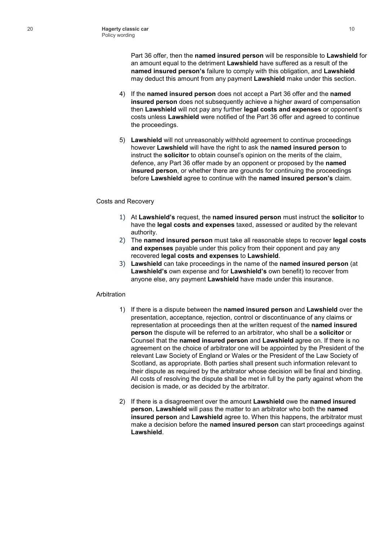Part 36 offer, then the **named insured person** will be responsible to **Lawshield** for an amount equal to the detriment **Lawshield** have suffered as a result of the **named insured person's** failure to comply with this obligation, and **Lawshield** may deduct this amount from any payment **Lawshield** make under this section.

- 4) If the **named insured person** does not accept a Part 36 offer and the **named insured person** does not subsequently achieve a higher award of compensation then **Lawshield** will not pay any further **legal costs and expenses** or opponent's costs unless **Lawshield** were notified of the Part 36 offer and agreed to continue the proceedings.
- 5) **Lawshield** will not unreasonably withhold agreement to continue proceedings however **Lawshield** will have the right to ask the **named insured person** to instruct the **solicitor** to obtain counsel's opinion on the merits of the claim, defence, any Part 36 offer made by an opponent or proposed by the **named insured person**, or whether there are grounds for continuing the proceedings before **Lawshield** agree to continue with the **named insured person's** claim.
- 
- Costs and Recovery 1) At **Lawshield's** request, the **named insured person** must instruct the **solicitor** to have the **legal costs and expenses** taxed, assessed or audited by the relevant authority.
	- 2) The **named insured person** must take all reasonable steps to recover **legal costs and expenses** payable under this policy from their opponent and pay any recovered **legal costs and expenses** to **Lawshield**.
	- 3) **Lawshield** can take proceedings in the name of the **named insured person** (at **Lawshield's** own expense and for **Lawshield's** own benefit) to recover from anyone else, any payment **Lawshield** have made under this insurance.

- 
- Arbitration 1) If there is a dispute between the **named insured person** and **Lawshield** over the presentation, acceptance, rejection, control or discontinuance of any claims or representation at proceedings then at the written request of the **named insured person** the dispute will be referred to an arbitrator, who shall be a **solicitor** or Counsel that the **named insured person** and **Lawshield** agree on. If there is no agreement on the choice of arbitrator one will be appointed by the President of the relevant Law Society of England or Wales or the President of the Law Society of Scotland, as appropriate. Both parties shall present such information relevant to their dispute as required by the arbitrator whose decision will be final and binding. All costs of resolving the dispute shall be met in full by the party against whom the decision is made, or as decided by the arbitrator.
	- 2) If there is a disagreement over the amount **Lawshield** owe the **named insured person**, **Lawshield** will pass the matter to an arbitrator who both the **named insured person** and **Lawshield** agree to. When this happens, the arbitrator must make a decision before the **named insured person** can start proceedings against **Lawshield**.

10